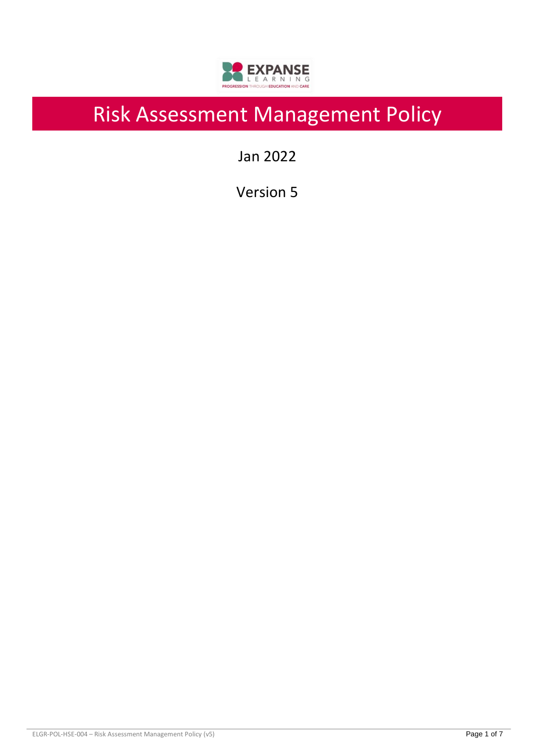

# Risk Assessment Management Policy

Jan 2022

Version 5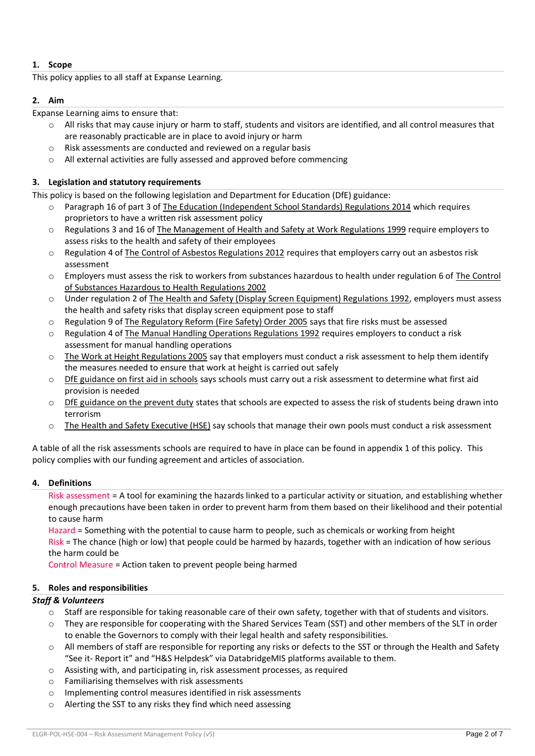# **1. Scope**

This policy applies to all staff at Expanse Learning.

### **2. Aim**

Expanse Learning aims to ensure that:

- $\circ$  All risks that may cause injury or harm to staff, students and visitors are identified, and all control measures that are reasonably practicable are in place to avoid injury or harm
- o Risk assessments are conducted and reviewed on a regular basis
- o All external activities are fully assessed and approved before commencing

## **3. Legislation and statutory requirements**

This policy is based on the following legislation and Department for Education (DfE) guidance:

- Paragraph 16 of part 3 of The Education [\(Independent School Standards\) Regulations 2014](http://www.legislation.gov.uk/uksi/2014/3283/schedule/part/3/made) which requires proprietors to have a written risk assessment policy
- o Regulations 3 and 16 o[f The Management of Health and Safety at Work Regulations 1999](http://www.legislation.gov.uk/uksi/1999/3242/contents/made) require employers to assess risks to the health and safety of their employees
- $\circ$  Regulation 4 of [The Control of Asbestos Regulations 2012](http://www.legislation.gov.uk/uksi/2012/632/regulation/4/made) requires that employers carry out an asbestos risk assessment
- o Employers must assess the risk to workers from substances hazardous to health under regulation 6 of [The Control](http://www.legislation.gov.uk/uksi/2002/2677/regulation/6/made)  [of Substances Hazardous to Health Regulations 2002](http://www.legislation.gov.uk/uksi/2002/2677/regulation/6/made)
- o Under regulation 2 of [The Health and Safety \(Display Screen Equipment\) Regulations 1992,](http://www.legislation.gov.uk/uksi/1992/2792/regulation/2/made) employers must assess the health and safety risks that display screen equipment pose to staff
- o Regulation 9 of [The Regulatory Reform \(Fire Safety\) Order 2005](http://www.legislation.gov.uk/uksi/2005/1541/article/9/made) says that fire risks must be assessed
- o Regulation 4 of [The Manual Handling Operations Regulations 1992](http://www.legislation.gov.uk/uksi/1992/2793/regulation/4/made) requires employers to conduct a risk assessment for manual handling operations
- $\circ$  [The Work at Height Regulations 2005](http://www.legislation.gov.uk/uksi/2005/735/regulation/6/made) say that employers must conduct a risk assessment to help them identify the measures needed to ensure that work at height is carried out safely
- o [DfE guidance on first aid in schools](https://www.gov.uk/government/uploads/system/uploads/attachment_data/file/306370/guidance_on_first_aid_for_schools.pdf) says schools must carry out a risk assessment to determine what first aid provision is needed
- $\circ$  [DfE guidance on the prevent duty](https://www.gov.uk/government/uploads/system/uploads/attachment_data/file/445977/3799_Revised_Prevent_Duty_Guidance__England_Wales_V2-Interactive.pdf) states that schools are expected to assess the risk of students being drawn into terrorism
- o [The Health and Safety Executive \(HSE\)](http://www.hse.gov.uk/entertainment/leisure/swimming-pool.htm) say schools that manage their own pools must conduct a risk assessment

A table of all the risk assessments schools are required to have in place can be found in appendix 1 of this policy. This policy complies with our funding agreement and articles of association.

#### **4. Definitions**

Risk assessment = A tool for examining the hazards linked to a particular activity or situation, and establishing whether enough precautions have been taken in order to prevent harm from them based on their likelihood and their potential to cause harm

Hazard = Something with the potential to cause harm to people, such as chemicals or working from height Risk = The chance (high or low) that people could be harmed by hazards, together with an indication of how serious the harm could be

Control Measure = Action taken to prevent people being harmed

# **5. Roles and responsibilities**

# *Staff & Volunteers*

- o Staff are responsible for taking reasonable care of their own safety, together with that of students and visitors.
- They are responsible for cooperating with the Shared Services Team (SST) and other members of the SLT in order to enable the Governors to comply with their legal health and safety responsibilities.
- $\circ$  All members of staff are responsible for reporting any risks or defects to the SST or through the Health and Safety "See it- Report it" and "H&S Helpdesk" via DatabridgeMIS platforms available to them.
- o Assisting with, and participating in, risk assessment processes, as required
- o Familiarising themselves with risk assessments
- o Implementing control measures identified in risk assessments
- o Alerting the SST to any risks they find which need assessing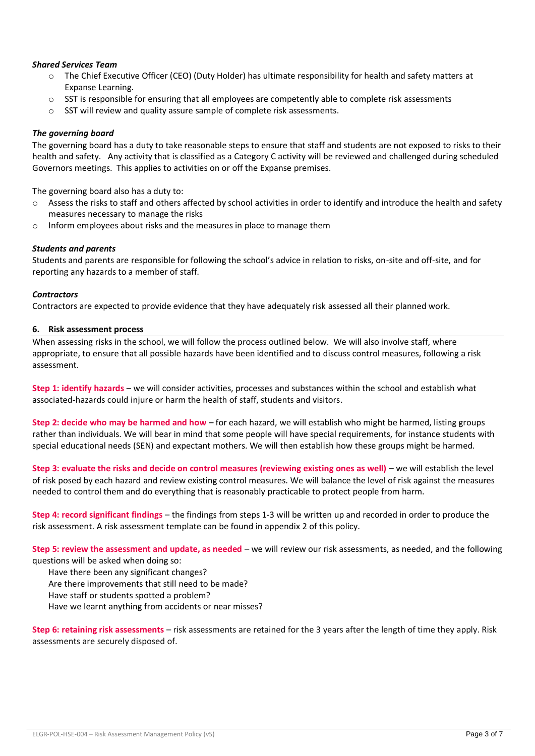### *Shared Services Team*

- o The Chief Executive Officer (CEO) (Duty Holder) has ultimate responsibility for health and safety matters at Expanse Learning.
- o SST is responsible for ensuring that all employees are competently able to complete risk assessments
- o SST will review and quality assure sample of complete risk assessments.

#### *The governing board*

The governing board has a duty to take reasonable steps to ensure that staff and students are not exposed to risks to their health and safety. Any activity that is classified as a Category C activity will be reviewed and challenged during scheduled Governors meetings. This applies to activities on or off the Expanse premises.

The governing board also has a duty to:

- $\circ$  Assess the risks to staff and others affected by school activities in order to identify and introduce the health and safety measures necessary to manage the risks
- o Inform employees about risks and the measures in place to manage them

#### *Students and parents*

Students and parents are responsible for following the school's advice in relation to risks, on-site and off-site, and for reporting any hazards to a member of staff.

#### *Contractors*

Contractors are expected to provide evidence that they have adequately risk assessed all their planned work.

#### **6. Risk assessment process**

When assessing risks in the school, we will follow the process outlined below. We will also involve staff, where appropriate, to ensure that all possible hazards have been identified and to discuss control measures, following a risk assessment.

**Step 1: identify hazards** – we will consider activities, processes and substances within the school and establish what associated-hazards could injure or harm the health of staff, students and visitors.

**Step 2: decide who may be harmed and how** – for each hazard, we will establish who might be harmed, listing groups rather than individuals. We will bear in mind that some people will have special requirements, for instance students with special educational needs (SEN) and expectant mothers. We will then establish how these groups might be harmed.

**Step 3: evaluate the risks and decide on control measures (reviewing existing ones as well)** – we will establish the level of risk posed by each hazard and review existing control measures. We will balance the level of risk against the measures needed to control them and do everything that is reasonably practicable to protect people from harm.

**Step 4: record significant findings** – the findings from steps 1-3 will be written up and recorded in order to produce the risk assessment. A risk assessment template can be found in appendix 2 of this policy.

**Step 5: review the assessment and update, as needed** – we will review our risk assessments, as needed, and the following questions will be asked when doing so:

Have there been any significant changes?

Are there improvements that still need to be made?

Have staff or students spotted a problem?

Have we learnt anything from accidents or near misses?

**Step 6: retaining risk assessments** – risk assessments are retained for the 3 years after the length of time they apply. Risk assessments are securely disposed of.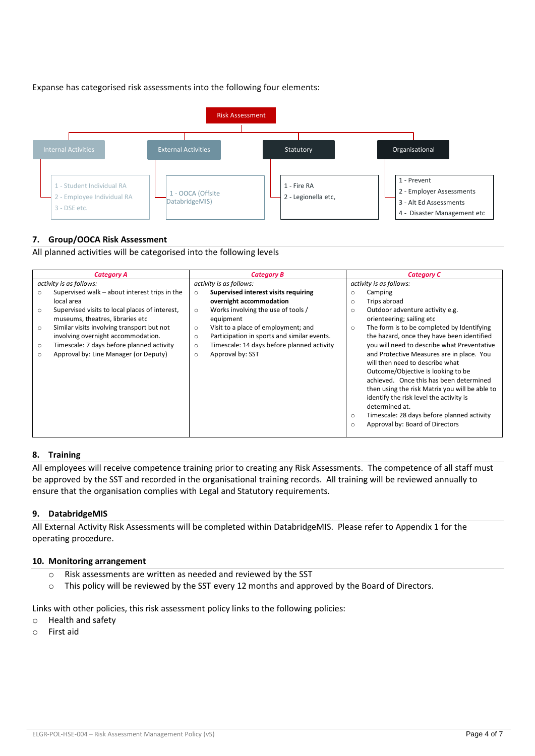Expanse has categorised risk assessments into the following four elements:



# **7. Group/OOCA Risk Assessment**

All planned activities will be categorised into the following levels

| <b>Category A</b>                                                                                                                                                                                                                                                                                                                                                                  | <b>Category B</b>                                                                                                                                                                                                                                                                                                                            | <b>Category C</b>                                                                                                                                                                                                                                                                                                                                                                                                                                                                                                                                                                                                       |  |  |
|------------------------------------------------------------------------------------------------------------------------------------------------------------------------------------------------------------------------------------------------------------------------------------------------------------------------------------------------------------------------------------|----------------------------------------------------------------------------------------------------------------------------------------------------------------------------------------------------------------------------------------------------------------------------------------------------------------------------------------------|-------------------------------------------------------------------------------------------------------------------------------------------------------------------------------------------------------------------------------------------------------------------------------------------------------------------------------------------------------------------------------------------------------------------------------------------------------------------------------------------------------------------------------------------------------------------------------------------------------------------------|--|--|
| activity is as follows:                                                                                                                                                                                                                                                                                                                                                            | activity is as follows:                                                                                                                                                                                                                                                                                                                      | activity is as follows:                                                                                                                                                                                                                                                                                                                                                                                                                                                                                                                                                                                                 |  |  |
| Supervised walk – about interest trips in the<br>$\circ$<br>local area<br>Supervised visits to local places of interest,<br>$\circ$<br>museums, theatres, libraries etc<br>Similar visits involving transport but not<br>$\circ$<br>involving overnight accommodation.<br>Timescale: 7 days before planned activity<br>$\circ$<br>Approval by: Line Manager (or Deputy)<br>$\circ$ | Supervised interest visits requiring<br>$\circ$<br>overnight accommodation<br>Works involving the use of tools /<br>$\circ$<br>equipment<br>Visit to a place of employment; and<br>$\circ$<br>Participation in sports and similar events.<br>$\circ$<br>Timescale: 14 days before planned activity<br>$\circ$<br>Approval by: SST<br>$\circ$ | Camping<br>$\circ$<br>Trips abroad<br>$\circ$<br>Outdoor adventure activity e.g.<br>$\circ$<br>orienteering; sailing etc<br>The form is to be completed by Identifying<br>$\circ$<br>the hazard, once they have been identified<br>you will need to describe what Preventative<br>and Protective Measures are in place. You<br>will then need to describe what<br>Outcome/Objective is looking to be<br>achieved. Once this has been determined<br>then using the risk Matrix you will be able to<br>identify the risk level the activity is<br>determined at.<br>Timescale: 28 days before planned activity<br>$\circ$ |  |  |
|                                                                                                                                                                                                                                                                                                                                                                                    |                                                                                                                                                                                                                                                                                                                                              | Approval by: Board of Directors<br>$\circ$                                                                                                                                                                                                                                                                                                                                                                                                                                                                                                                                                                              |  |  |

#### **8. Training**

All employees will receive competence training prior to creating any Risk Assessments. The competence of all staff must be approved by the SST and recorded in the organisational training records. All training will be reviewed annually to ensure that the organisation complies with Legal and Statutory requirements.

#### **9. DatabridgeMIS**

All External Activity Risk Assessments will be completed within DatabridgeMIS. Please refer to Appendix 1 for the operating procedure.

#### **10. Monitoring arrangement**

- o Risk assessments are written as needed and reviewed by the SST
- o This policy will be reviewed by the SST every 12 months and approved by the Board of Directors.

Links with other policies, this risk assessment policy links to the following policies:

- o Health and safety
- o First aid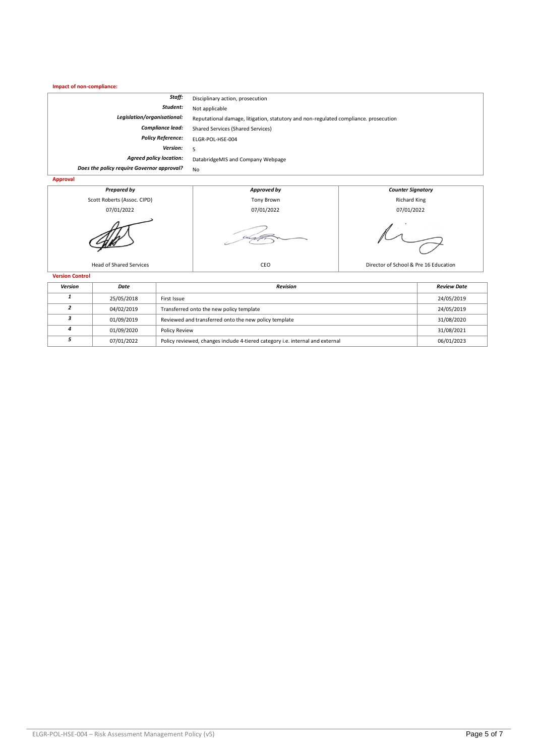**Impact of non-compliance:**

| Staff:                                     | Disciplinary action, prosecution                                                     |
|--------------------------------------------|--------------------------------------------------------------------------------------|
| Student:                                   | Not applicable                                                                       |
| Legislation/organisational:                | Reputational damage, litigation, statutory and non-regulated compliance, prosecution |
| Compliance lead:                           | <b>Shared Services (Shared Services)</b>                                             |
| <b>Policy Reference:</b>                   | ELGR-POL-HSE-004                                                                     |
| Version:                                   |                                                                                      |
| <b>Agreed policy location:</b>             | DatabridgeMIS and Company Webpage                                                    |
| Does the policy require Governor approval? | No                                                                                   |
| Anneoual                                   |                                                                                      |





| Version | Date       | <b>Revision</b>                                                               | <b>Review Date</b> |
|---------|------------|-------------------------------------------------------------------------------|--------------------|
|         | 25/05/2018 | First Issue                                                                   | 24/05/2019         |
|         | 04/02/2019 | Transferred onto the new policy template                                      | 24/05/2019         |
|         | 01/09/2019 | Reviewed and transferred onto the new policy template                         | 31/08/2020         |
|         | 01/09/2020 | <b>Policy Review</b>                                                          | 31/08/2021         |
|         | 07/01/2022 | Policy reviewed, changes include 4-tiered category i.e. internal and external | 06/01/2023         |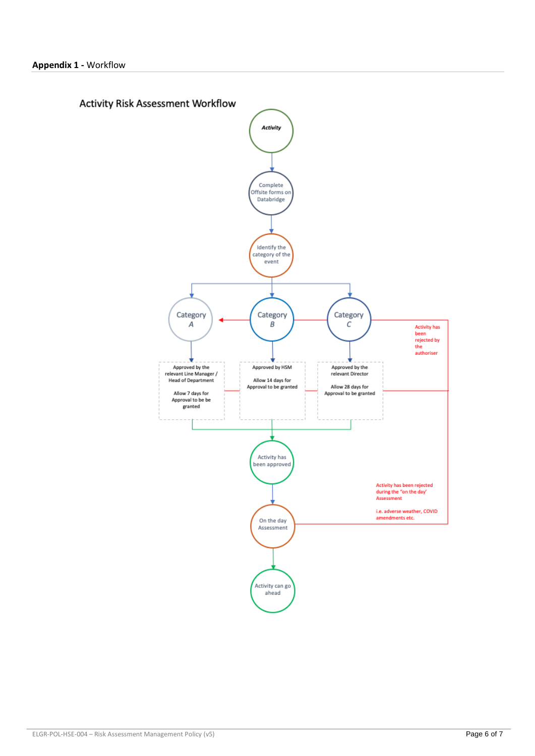